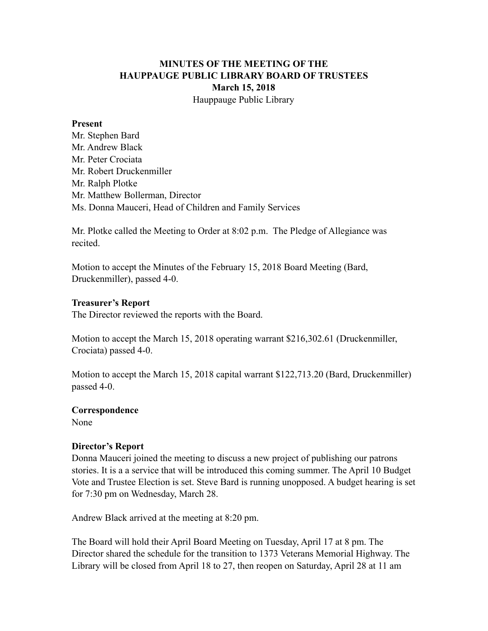# **MINUTES OF THE MEETING OF THE HAUPPAUGE PUBLIC LIBRARY BOARD OF TRUSTEES March 15, 2018** Hauppauge Public Library

#### **Present**

Mr. Stephen Bard Mr. Andrew Black Mr. Peter Crociata Mr. Robert Druckenmiller Mr. Ralph Plotke Mr. Matthew Bollerman, Director Ms. Donna Mauceri, Head of Children and Family Services

Mr. Plotke called the Meeting to Order at 8:02 p.m. The Pledge of Allegiance was recited.

Motion to accept the Minutes of the February 15, 2018 Board Meeting (Bard, Druckenmiller), passed 4-0.

#### **Treasurer's Report**

The Director reviewed the reports with the Board.

Motion to accept the March 15, 2018 operating warrant \$216,302.61 (Druckenmiller, Crociata) passed 4-0.

Motion to accept the March 15, 2018 capital warrant \$122,713.20 (Bard, Druckenmiller) passed 4-0.

## **Correspondence**

None

## **Director's Report**

Donna Mauceri joined the meeting to discuss a new project of publishing our patrons stories. It is a a service that will be introduced this coming summer. The April 10 Budget Vote and Trustee Election is set. Steve Bard is running unopposed. A budget hearing is set for 7:30 pm on Wednesday, March 28.

Andrew Black arrived at the meeting at 8:20 pm.

The Board will hold their April Board Meeting on Tuesday, April 17 at 8 pm. The Director shared the schedule for the transition to 1373 Veterans Memorial Highway. The Library will be closed from April 18 to 27, then reopen on Saturday, April 28 at 11 am